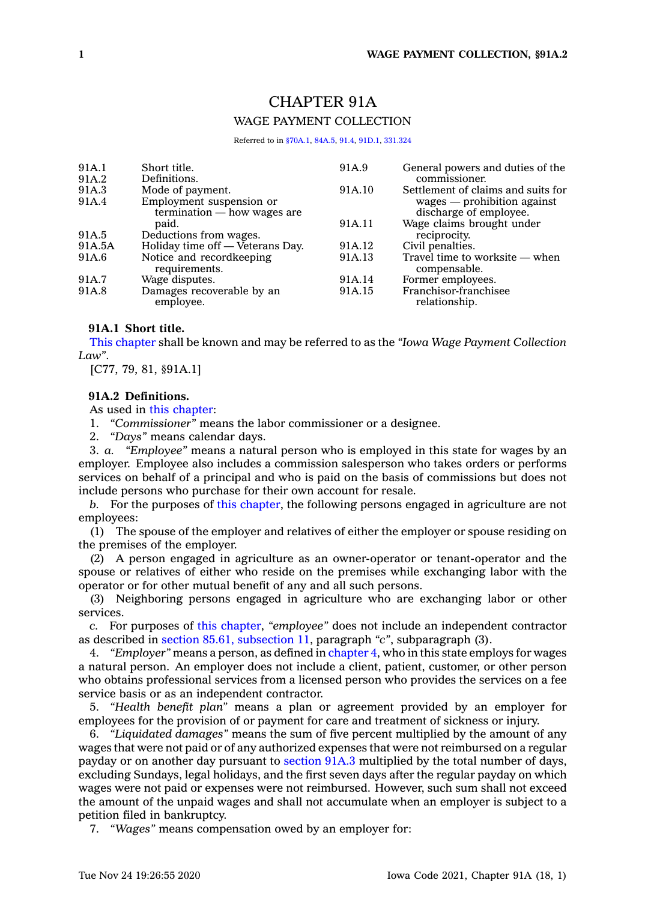# CHAPTER 91A WAGE PAYMENT COLLECTION

Referred to in [§70A.1](https://www.legis.iowa.gov/docs/code/70A.1.pdf), [84A.5](https://www.legis.iowa.gov/docs/code/84A.5.pdf), [91.4](https://www.legis.iowa.gov/docs/code/91.4.pdf), [91D.1](https://www.legis.iowa.gov/docs/code/91D.1.pdf), [331.324](https://www.legis.iowa.gov/docs/code/331.324.pdf)

| 91A.1  | Short title.                     | 91A.9  | General powers and duties of the   |
|--------|----------------------------------|--------|------------------------------------|
| 91A.2  | Definitions.                     |        | commissioner.                      |
| 91A.3  | Mode of payment.                 | 91A.10 | Settlement of claims and suits for |
| 91A.4  | Employment suspension or         |        | $wages$ — prohibition against      |
|        | termination — how wages are      |        | discharge of employee.             |
|        | paid.                            | 91A.11 | Wage claims brought under          |
| 91A.5  | Deductions from wages.           |        | reciprocity.                       |
| 91A.5A | Holiday time off — Veterans Day. | 91A.12 | Civil penalties.                   |
| 91A.6  | Notice and record keeping        | 91A.13 | Travel time to worksite — when     |
|        | requirements.                    |        | compensable.                       |
| 91A.7  | Wage disputes.                   | 91A.14 | Former employees.                  |
| 91A.8  | Damages recoverable by an        | 91A.15 | Franchisor-franchisee              |
|        | employee.                        |        | relationship.                      |

# **91A.1 Short title.**

This [chapter](https://www.legis.iowa.gov/docs/code//91A.pdf) shall be known and may be referred to as the *"Iowa Wage Payment Collection Law"*.

[C77, 79, 81, §91A.1]

# **91A.2 Definitions.**

As used in this [chapter](https://www.legis.iowa.gov/docs/code//91A.pdf):

1. *"Commissioner"* means the labor commissioner or <sup>a</sup> designee.

2. *"Days"* means calendar days.

3. *a. "Employee"* means <sup>a</sup> natural person who is employed in this state for wages by an employer. Employee also includes <sup>a</sup> commission salesperson who takes orders or performs services on behalf of <sup>a</sup> principal and who is paid on the basis of commissions but does not include persons who purchase for their own account for resale.

*b.* For the purposes of this [chapter](https://www.legis.iowa.gov/docs/code//91A.pdf), the following persons engaged in agriculture are not employees:

(1) The spouse of the employer and relatives of either the employer or spouse residing on the premises of the employer.

(2) A person engaged in agriculture as an owner-operator or tenant-operator and the spouse or relatives of either who reside on the premises while exchanging labor with the operator or for other mutual benefit of any and all such persons.

(3) Neighboring persons engaged in agriculture who are exchanging labor or other services.

*c.* For purposes of this [chapter](https://www.legis.iowa.gov/docs/code//91A.pdf), *"employee"* does not include an independent contractor as described in section 85.61, [subsection](https://www.legis.iowa.gov/docs/code/85.61.pdf) 11, paragraph *"c"*, subparagraph (3).

4. *"Employer"* means <sup>a</sup> person, as defined in [chapter](https://www.legis.iowa.gov/docs/code//4.pdf) 4, who in this state employs for wages <sup>a</sup> natural person. An employer does not include <sup>a</sup> client, patient, customer, or other person who obtains professional services from <sup>a</sup> licensed person who provides the services on <sup>a</sup> fee service basis or as an independent contractor.

5. *"Health benefit plan"* means <sup>a</sup> plan or agreement provided by an employer for employees for the provision of or payment for care and treatment of sickness or injury.

6. *"Liquidated damages"* means the sum of five percent multiplied by the amount of any wages that were not paid or of any authorized expenses that were not reimbursed on <sup>a</sup> regular payday or on another day pursuant to [section](https://www.legis.iowa.gov/docs/code/91A.3.pdf) 91A.3 multiplied by the total number of days, excluding Sundays, legal holidays, and the first seven days after the regular payday on which wages were not paid or expenses were not reimbursed. However, such sum shall not exceed the amount of the unpaid wages and shall not accumulate when an employer is subject to <sup>a</sup> petition filed in bankruptcy.

7. *"Wages"* means compensation owed by an employer for: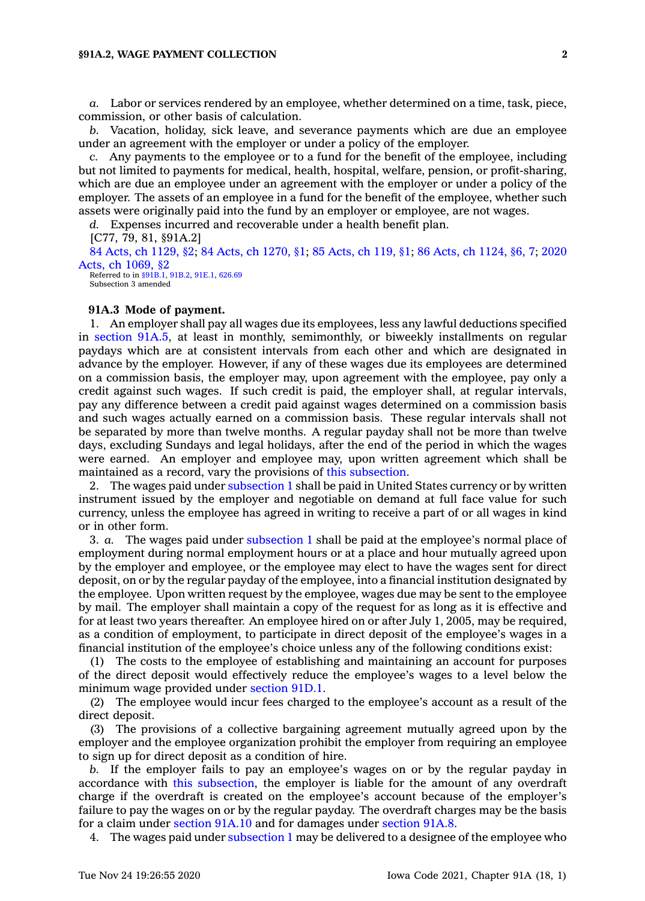*a.* Labor or services rendered by an employee, whether determined on <sup>a</sup> time, task, piece, commission, or other basis of calculation.

*b.* Vacation, holiday, sick leave, and severance payments which are due an employee under an agreement with the employer or under <sup>a</sup> policy of the employer.

*c.* Any payments to the employee or to <sup>a</sup> fund for the benefit of the employee, including but not limited to payments for medical, health, hospital, welfare, pension, or profit-sharing, which are due an employee under an agreement with the employer or under <sup>a</sup> policy of the employer. The assets of an employee in <sup>a</sup> fund for the benefit of the employee, whether such assets were originally paid into the fund by an employer or employee, are not wages.

*d.* Expenses incurred and recoverable under <sup>a</sup> health benefit plan.

[C77, 79, 81, §91A.2]

84 Acts, ch [1129,](https://www.legis.iowa.gov/docs/acts/1984/CH1129.pdf) §2; 84 Acts, ch [1270,](https://www.legis.iowa.gov/docs/acts/84/CH1270.pdf) §1; 85 [Acts,](https://www.legis.iowa.gov/docs/acts/85/CH0119.pdf) ch 119, §1; 86 Acts, ch [1124,](https://www.legis.iowa.gov/docs/acts/86/CH1124.pdf) §6, 7; [2020](https://www.legis.iowa.gov/docs/acts/2020/CH1069.pdf) Acts, ch [1069,](https://www.legis.iowa.gov/docs/acts/2020/CH1069.pdf) §2 Referred to in [§91B.1](https://www.legis.iowa.gov/docs/code/91B.1.pdf), [91B.2](https://www.legis.iowa.gov/docs/code/91B.2.pdf), [91E.1](https://www.legis.iowa.gov/docs/code/91E.1.pdf), [626.69](https://www.legis.iowa.gov/docs/code/626.69.pdf)

Subsection 3 amended

### **91A.3 Mode of payment.**

1. An employer shall pay all wages due its employees, less any lawful deductions specified in [section](https://www.legis.iowa.gov/docs/code/91A.5.pdf) 91A.5, at least in monthly, semimonthly, or biweekly installments on regular paydays which are at consistent intervals from each other and which are designated in advance by the employer. However, if any of these wages due its employees are determined on <sup>a</sup> commission basis, the employer may, upon agreement with the employee, pay only <sup>a</sup> credit against such wages. If such credit is paid, the employer shall, at regular intervals, pay any difference between <sup>a</sup> credit paid against wages determined on <sup>a</sup> commission basis and such wages actually earned on <sup>a</sup> commission basis. These regular intervals shall not be separated by more than twelve months. A regular payday shall not be more than twelve days, excluding Sundays and legal holidays, after the end of the period in which the wages were earned. An employer and employee may, upon written agreement which shall be maintained as <sup>a</sup> record, vary the provisions of this [subsection](https://www.legis.iowa.gov/docs/code/91A.3.pdf).

2. The wages paid under [subsection](https://www.legis.iowa.gov/docs/code/91A.3.pdf) 1 shall be paid in United States currency or by written instrument issued by the employer and negotiable on demand at full face value for such currency, unless the employee has agreed in writing to receive <sup>a</sup> part of or all wages in kind or in other form.

3. *a.* The wages paid under [subsection](https://www.legis.iowa.gov/docs/code/91A.3.pdf) 1 shall be paid at the employee's normal place of employment during normal employment hours or at <sup>a</sup> place and hour mutually agreed upon by the employer and employee, or the employee may elect to have the wages sent for direct deposit, on or by the regular payday of the employee, into <sup>a</sup> financial institution designated by the employee. Upon written request by the employee, wages due may be sent to the employee by mail. The employer shall maintain <sup>a</sup> copy of the request for as long as it is effective and for at least two years thereafter. An employee hired on or after July 1, 2005, may be required, as <sup>a</sup> condition of employment, to participate in direct deposit of the employee's wages in <sup>a</sup> financial institution of the employee's choice unless any of the following conditions exist:

(1) The costs to the employee of establishing and maintaining an account for purposes of the direct deposit would effectively reduce the employee's wages to <sup>a</sup> level below the minimum wage provided under [section](https://www.legis.iowa.gov/docs/code/91D.1.pdf) 91D.1.

(2) The employee would incur fees charged to the employee's account as <sup>a</sup> result of the direct deposit.

(3) The provisions of <sup>a</sup> collective bargaining agreement mutually agreed upon by the employer and the employee organization prohibit the employer from requiring an employee to sign up for direct deposit as <sup>a</sup> condition of hire.

*b.* If the employer fails to pay an employee's wages on or by the regular payday in accordance with this [subsection](https://www.legis.iowa.gov/docs/code/91A.3.pdf), the employer is liable for the amount of any overdraft charge if the overdraft is created on the employee's account because of the employer's failure to pay the wages on or by the regular payday. The overdraft charges may be the basis for <sup>a</sup> claim under [section](https://www.legis.iowa.gov/docs/code/91A.10.pdf) 91A.10 and for damages under [section](https://www.legis.iowa.gov/docs/code/91A.8.pdf) 91A.8.

4. The wages paid under [subsection](https://www.legis.iowa.gov/docs/code/91A.3.pdf) 1 may be delivered to <sup>a</sup> designee of the employee who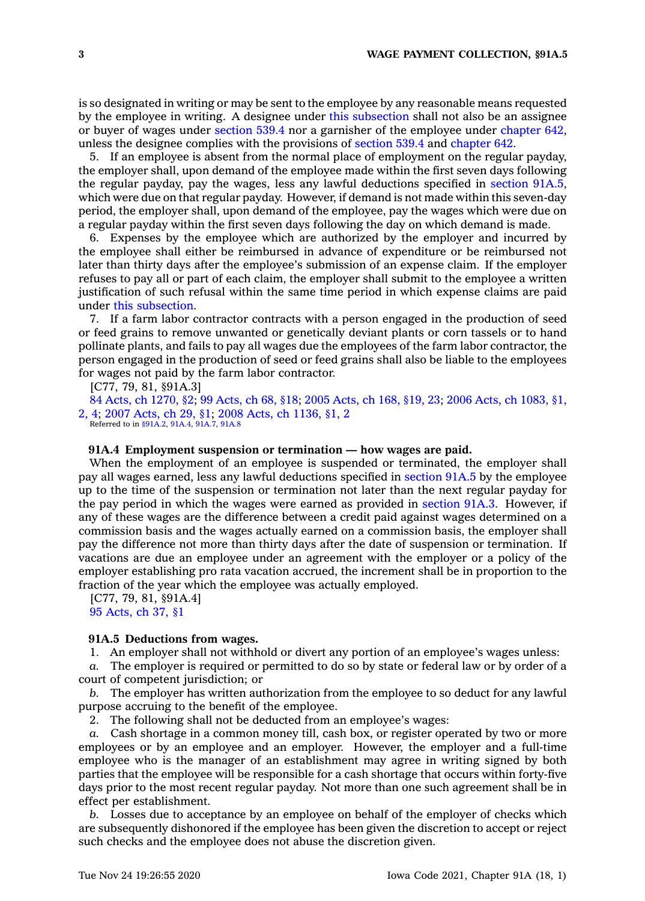is so designated in writing or may be sent to the employee by any reasonable means requested by the employee in writing. A designee under this [subsection](https://www.legis.iowa.gov/docs/code/91A.3.pdf) shall not also be an assignee or buyer of wages under [section](https://www.legis.iowa.gov/docs/code/539.4.pdf) 539.4 nor <sup>a</sup> garnisher of the employee under [chapter](https://www.legis.iowa.gov/docs/code//642.pdf) 642, unless the designee complies with the provisions of [section](https://www.legis.iowa.gov/docs/code/539.4.pdf) 539.4 and [chapter](https://www.legis.iowa.gov/docs/code//642.pdf) 642.

5. If an employee is absent from the normal place of employment on the regular payday, the employer shall, upon demand of the employee made within the first seven days following the regular payday, pay the wages, less any lawful deductions specified in [section](https://www.legis.iowa.gov/docs/code/91A.5.pdf) 91A.5, which were due on that regular payday. However, if demand is not made within this seven-day period, the employer shall, upon demand of the employee, pay the wages which were due on <sup>a</sup> regular payday within the first seven days following the day on which demand is made.

6. Expenses by the employee which are authorized by the employer and incurred by the employee shall either be reimbursed in advance of expenditure or be reimbursed not later than thirty days after the employee's submission of an expense claim. If the employer refuses to pay all or part of each claim, the employer shall submit to the employee <sup>a</sup> written justification of such refusal within the same time period in which expense claims are paid under this [subsection](https://www.legis.iowa.gov/docs/code/91A.3.pdf).

7. If <sup>a</sup> farm labor contractor contracts with <sup>a</sup> person engaged in the production of seed or feed grains to remove unwanted or genetically deviant plants or corn tassels or to hand pollinate plants, and fails to pay all wages due the employees of the farm labor contractor, the person engaged in the production of seed or feed grains shall also be liable to the employees for wages not paid by the farm labor contractor.

[C77, 79, 81, §91A.3]

84 Acts, ch [1270,](https://www.legis.iowa.gov/docs/acts/1984/CH1270.pdf) §2; 99 [Acts,](https://www.legis.iowa.gov/docs/acts/1999/CH0068.pdf) ch 68, §18; 2005 [Acts,](https://www.legis.iowa.gov/docs/acts/2005/CH0168.pdf) ch 168, §19, 23; 2006 Acts, ch [1083,](https://www.legis.iowa.gov/docs/acts/2006/CH1083.pdf) §1, [2,](https://www.legis.iowa.gov/docs/acts/2006/CH1083.pdf) 4; 2007 [Acts,](https://www.legis.iowa.gov/docs/acts/2007/CH0029.pdf) ch 29, §1; 2008 Acts, ch [1136,](https://www.legis.iowa.gov/docs/acts/2008/CH1136.pdf) §1, 2 Referred to in [§91A.2](https://www.legis.iowa.gov/docs/code/91A.2.pdf), [91A.4](https://www.legis.iowa.gov/docs/code/91A.4.pdf), [91A.7](https://www.legis.iowa.gov/docs/code/91A.7.pdf), [91A.8](https://www.legis.iowa.gov/docs/code/91A.8.pdf)

# **91A.4 Employment suspension or termination — how wages are paid.**

When the employment of an employee is suspended or terminated, the employer shall pay all wages earned, less any lawful deductions specified in [section](https://www.legis.iowa.gov/docs/code/91A.5.pdf) 91A.5 by the employee up to the time of the suspension or termination not later than the next regular payday for the pay period in which the wages were earned as provided in [section](https://www.legis.iowa.gov/docs/code/91A.3.pdf)  $91A.3$ . However, if any of these wages are the difference between <sup>a</sup> credit paid against wages determined on <sup>a</sup> commission basis and the wages actually earned on <sup>a</sup> commission basis, the employer shall pay the difference not more than thirty days after the date of suspension or termination. If vacations are due an employee under an agreement with the employer or <sup>a</sup> policy of the employer establishing pro rata vacation accrued, the increment shall be in proportion to the fraction of the year which the employee was actually employed.

[C77, 79, 81, §91A.4] 95 [Acts,](https://www.legis.iowa.gov/docs/acts/1995/CH0037.pdf) ch 37, §1

#### **91A.5 Deductions from wages.**

1. An employer shall not withhold or divert any portion of an employee's wages unless:

*a.* The employer is required or permitted to do so by state or federal law or by order of <sup>a</sup> court of competent jurisdiction; or

*b.* The employer has written authorization from the employee to so deduct for any lawful purpose accruing to the benefit of the employee.

2. The following shall not be deducted from an employee's wages:

*a.* Cash shortage in <sup>a</sup> common money till, cash box, or register operated by two or more employees or by an employee and an employer. However, the employer and <sup>a</sup> full-time employee who is the manager of an establishment may agree in writing signed by both parties that the employee will be responsible for <sup>a</sup> cash shortage that occurs within forty-five days prior to the most recent regular payday. Not more than one such agreement shall be in effect per establishment.

*b.* Losses due to acceptance by an employee on behalf of the employer of checks which are subsequently dishonored if the employee has been given the discretion to accept or reject such checks and the employee does not abuse the discretion given.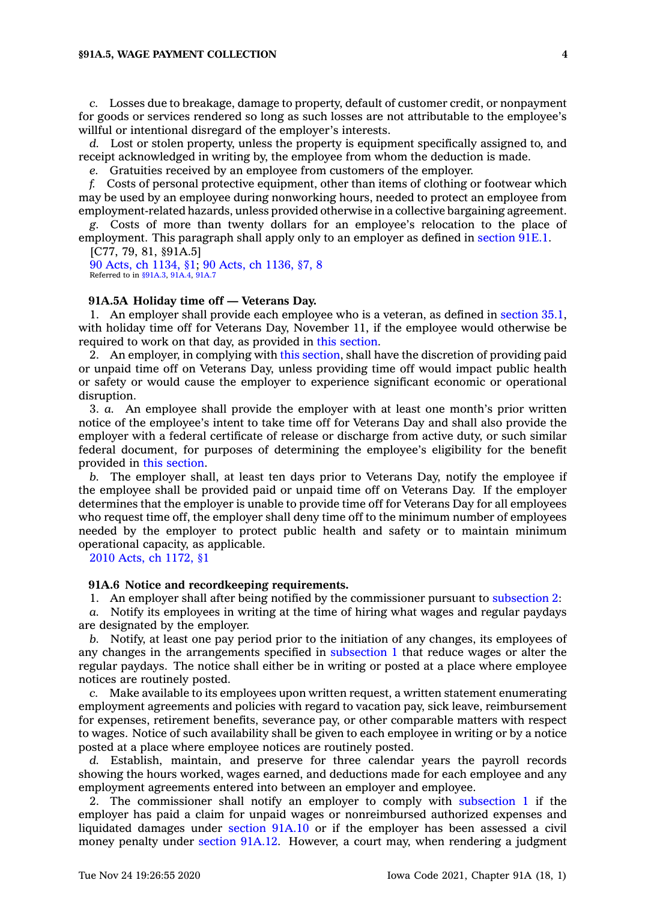### **§91A.5, WAGE PAYMENT COLLECTION 4**

*c.* Losses due to breakage, damage to property, default of customer credit, or nonpayment for goods or services rendered so long as such losses are not attributable to the employee's willful or intentional disregard of the employer's interests.

*d.* Lost or stolen property, unless the property is equipment specifically assigned to, and receipt acknowledged in writing by, the employee from whom the deduction is made.

*e.* Gratuities received by an employee from customers of the employer.

*f.* Costs of personal protective equipment, other than items of clothing or footwear which may be used by an employee during nonworking hours, needed to protect an employee from employment-related hazards, unless provided otherwise in <sup>a</sup> collective bargaining agreement.

*g.* Costs of more than twenty dollars for an employee's relocation to the place of employment. This paragraph shall apply only to an employer as defined in [section](https://www.legis.iowa.gov/docs/code/91E.1.pdf) 91E.1.

[C77, 79, 81, §91A.5]

90 Acts, ch [1134,](https://www.legis.iowa.gov/docs/acts/1990/CH1134.pdf) §1; 90 Acts, ch [1136,](https://www.legis.iowa.gov/docs/acts/1990/CH1136.pdf) §7, 8 Referred to in [§91A.3](https://www.legis.iowa.gov/docs/code/91A.3.pdf), [91A.4](https://www.legis.iowa.gov/docs/code/91A.4.pdf), [91A.7](https://www.legis.iowa.gov/docs/code/91A.7.pdf)

### **91A.5A Holiday time off — Veterans Day.**

1. An employer shall provide each employee who is <sup>a</sup> veteran, as defined in [section](https://www.legis.iowa.gov/docs/code/35.1.pdf) 35.1, with holiday time off for Veterans Day, November 11, if the employee would otherwise be required to work on that day, as provided in this [section](https://www.legis.iowa.gov/docs/code/91A.5A.pdf).

2. An employer, in complying with this [section](https://www.legis.iowa.gov/docs/code/91A.5A.pdf), shall have the discretion of providing paid or unpaid time off on Veterans Day, unless providing time off would impact public health or safety or would cause the employer to experience significant economic or operational disruption.

3. *a.* An employee shall provide the employer with at least one month's prior written notice of the employee's intent to take time off for Veterans Day and shall also provide the employer with <sup>a</sup> federal certificate of release or discharge from active duty, or such similar federal document, for purposes of determining the employee's eligibility for the benefit provided in this [section](https://www.legis.iowa.gov/docs/code/91A.5A.pdf).

*b.* The employer shall, at least ten days prior to Veterans Day, notify the employee if the employee shall be provided paid or unpaid time off on Veterans Day. If the employer determines that the employer is unable to provide time off for Veterans Day for all employees who request time off, the employer shall deny time off to the minimum number of employees needed by the employer to protect public health and safety or to maintain minimum operational capacity, as applicable.

2010 Acts, ch [1172,](https://www.legis.iowa.gov/docs/acts/2010/CH1172.pdf) §1

# **91A.6 Notice and recordkeeping requirements.**

1. An employer shall after being notified by the commissioner pursuant to [subsection](https://www.legis.iowa.gov/docs/code/91A.6.pdf) 2:

*a.* Notify its employees in writing at the time of hiring what wages and regular paydays are designated by the employer.

*b.* Notify, at least one pay period prior to the initiation of any changes, its employees of any changes in the arrangements specified in [subsection](https://www.legis.iowa.gov/docs/code/91A.6.pdf) 1 that reduce wages or alter the regular paydays. The notice shall either be in writing or posted at <sup>a</sup> place where employee notices are routinely posted.

*c.* Make available to its employees upon written request, <sup>a</sup> written statement enumerating employment agreements and policies with regard to vacation pay, sick leave, reimbursement for expenses, retirement benefits, severance pay, or other comparable matters with respect to wages. Notice of such availability shall be given to each employee in writing or by <sup>a</sup> notice posted at <sup>a</sup> place where employee notices are routinely posted.

*d.* Establish, maintain, and preserve for three calendar years the payroll records showing the hours worked, wages earned, and deductions made for each employee and any employment agreements entered into between an employer and employee.

2. The commissioner shall notify an employer to comply with [subsection](https://www.legis.iowa.gov/docs/code/91A.6.pdf) 1 if the employer has paid <sup>a</sup> claim for unpaid wages or nonreimbursed authorized expenses and liquidated damages under [section](https://www.legis.iowa.gov/docs/code/91A.10.pdf) 91A.10 or if the employer has been assessed <sup>a</sup> civil money penalty under [section](https://www.legis.iowa.gov/docs/code/91A.12.pdf) 91A.12. However, <sup>a</sup> court may, when rendering <sup>a</sup> judgment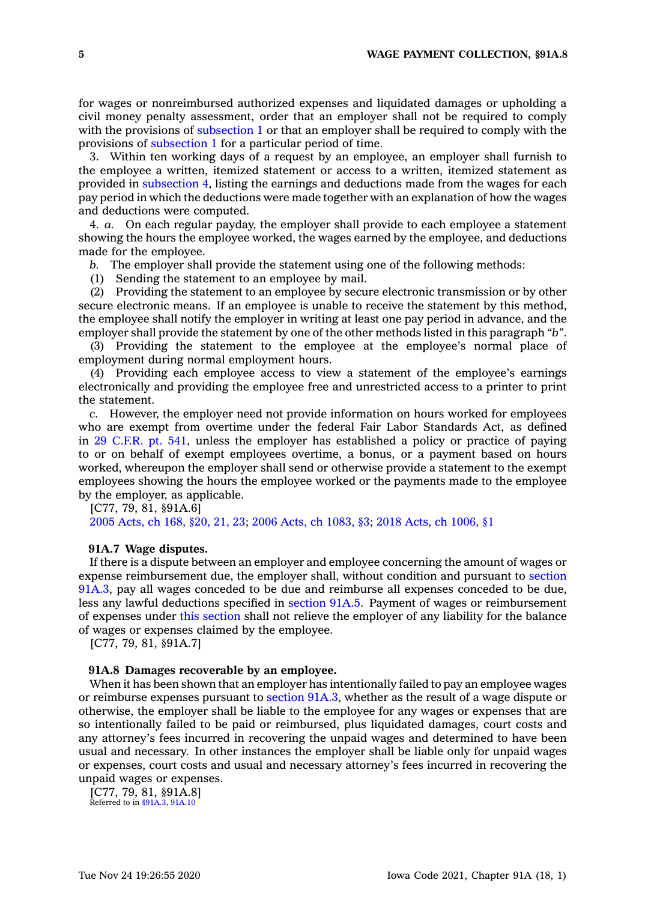for wages or nonreimbursed authorized expenses and liquidated damages or upholding <sup>a</sup> civil money penalty assessment, order that an employer shall not be required to comply with the provisions of [subsection](https://www.legis.iowa.gov/docs/code/91A.6.pdf) 1 or that an employer shall be required to comply with the provisions of [subsection](https://www.legis.iowa.gov/docs/code/91A.6.pdf) 1 for <sup>a</sup> particular period of time.

3. Within ten working days of <sup>a</sup> request by an employee, an employer shall furnish to the employee <sup>a</sup> written, itemized statement or access to <sup>a</sup> written, itemized statement as provided in [subsection](https://www.legis.iowa.gov/docs/code/91A.6.pdf) 4, listing the earnings and deductions made from the wages for each pay period in which the deductions were made together with an explanation of how the wages and deductions were computed.

4. *a.* On each regular payday, the employer shall provide to each employee <sup>a</sup> statement showing the hours the employee worked, the wages earned by the employee, and deductions made for the employee.

*b.* The employer shall provide the statement using one of the following methods:

(1) Sending the statement to an employee by mail.

(2) Providing the statement to an employee by secure electronic transmission or by other secure electronic means. If an employee is unable to receive the statement by this method, the employee shall notify the employer in writing at least one pay period in advance, and the employer shall provide the statement by one of the other methods listed in this paragraph *"b"*.

(3) Providing the statement to the employee at the employee's normal place of employment during normal employment hours.

(4) Providing each employee access to view <sup>a</sup> statement of the employee's earnings electronically and providing the employee free and unrestricted access to <sup>a</sup> printer to print the statement.

*c.* However, the employer need not provide information on hours worked for employees who are exempt from overtime under the federal Fair Labor Standards Act, as defined in 29 [C.F.R.](https://www.law.cornell.edu/cfr/text/29/part-541) pt. 541, unless the employer has established <sup>a</sup> policy or practice of paying to or on behalf of exempt employees overtime, <sup>a</sup> bonus, or <sup>a</sup> payment based on hours worked, whereupon the employer shall send or otherwise provide <sup>a</sup> statement to the exempt employees showing the hours the employee worked or the payments made to the employee by the employer, as applicable.

[C77, 79, 81, §91A.6]

2005 [Acts,](https://www.legis.iowa.gov/docs/acts/2005/CH0168.pdf) ch 168, §20, 21, 23; 2006 Acts, ch [1083,](https://www.legis.iowa.gov/docs/acts/2006/CH1083.pdf) §3; 2018 Acts, ch [1006,](https://www.legis.iowa.gov/docs/acts/2018/CH1006.pdf) §1

# **91A.7 Wage disputes.**

If there is <sup>a</sup> dispute between an employer and employee concerning the amount of wages or expense reimbursement due, the employer shall, without condition and pursuant to [section](https://www.legis.iowa.gov/docs/code/91A.3.pdf) [91A.3](https://www.legis.iowa.gov/docs/code/91A.3.pdf), pay all wages conceded to be due and reimburse all expenses conceded to be due, less any lawful deductions specified in [section](https://www.legis.iowa.gov/docs/code/91A.5.pdf) 91A.5. Payment of wages or reimbursement of expenses under this [section](https://www.legis.iowa.gov/docs/code/91A.7.pdf) shall not relieve the employer of any liability for the balance of wages or expenses claimed by the employee.

[C77, 79, 81, §91A.7]

# **91A.8 Damages recoverable by an employee.**

When it has been shown that an employer has intentionally failed to pay an employee wages or reimburse expenses pursuant to [section](https://www.legis.iowa.gov/docs/code/91A.3.pdf) 91A.3, whether as the result of <sup>a</sup> wage dispute or otherwise, the employer shall be liable to the employee for any wages or expenses that are so intentionally failed to be paid or reimbursed, plus liquidated damages, court costs and any attorney's fees incurred in recovering the unpaid wages and determined to have been usual and necessary. In other instances the employer shall be liable only for unpaid wages or expenses, court costs and usual and necessary attorney's fees incurred in recovering the unpaid wages or expenses.

[C77, 79, 81, §91A.8] Referred to in [§91A.3](https://www.legis.iowa.gov/docs/code/91A.3.pdf), [91A.10](https://www.legis.iowa.gov/docs/code/91A.10.pdf)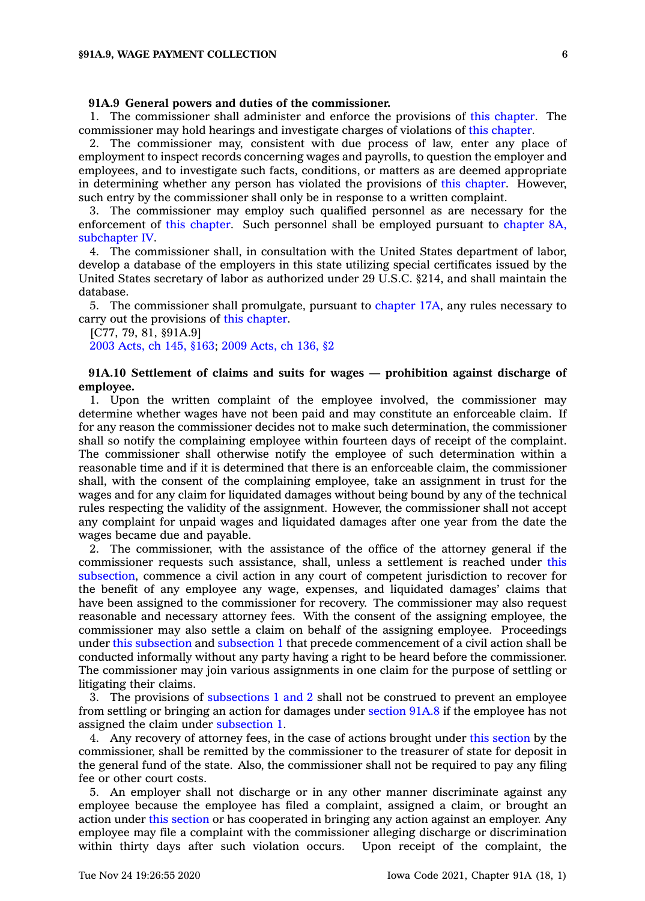### **91A.9 General powers and duties of the commissioner.**

1. The commissioner shall administer and enforce the provisions of this [chapter](https://www.legis.iowa.gov/docs/code//91A.pdf). The commissioner may hold hearings and investigate charges of violations of this [chapter](https://www.legis.iowa.gov/docs/code//91A.pdf).

2. The commissioner may, consistent with due process of law, enter any place of employment to inspect records concerning wages and payrolls, to question the employer and employees, and to investigate such facts, conditions, or matters as are deemed appropriate in determining whether any person has violated the provisions of this [chapter](https://www.legis.iowa.gov/docs/code//91A.pdf). However, such entry by the commissioner shall only be in response to <sup>a</sup> written complaint.

3. The commissioner may employ such qualified personnel as are necessary for the enforcement of this [chapter](https://www.legis.iowa.gov/docs/code//91A.pdf). Such personnel shall be employed pursuant to [chapter](https://www.legis.iowa.gov/docs/code//8A.pdf) 8A, [subchapter](https://www.legis.iowa.gov/docs/code//8A.pdf) IV.

4. The commissioner shall, in consultation with the United States department of labor, develop <sup>a</sup> database of the employers in this state utilizing special certificates issued by the United States secretary of labor as authorized under 29 U.S.C. §214, and shall maintain the database.

5. The commissioner shall promulgate, pursuant to [chapter](https://www.legis.iowa.gov/docs/code//17A.pdf) 17A, any rules necessary to carry out the provisions of this [chapter](https://www.legis.iowa.gov/docs/code//91A.pdf).

[C77, 79, 81, §91A.9] 2003 [Acts,](https://www.legis.iowa.gov/docs/acts/2003/CH0145.pdf) ch 145, §163; 2009 [Acts,](https://www.legis.iowa.gov/docs/acts/2009/CH0136.pdf) ch 136, §2

# **91A.10 Settlement of claims and suits for wages — prohibition against discharge of employee.**

1. Upon the written complaint of the employee involved, the commissioner may determine whether wages have not been paid and may constitute an enforceable claim. If for any reason the commissioner decides not to make such determination, the commissioner shall so notify the complaining employee within fourteen days of receipt of the complaint. The commissioner shall otherwise notify the employee of such determination within <sup>a</sup> reasonable time and if it is determined that there is an enforceable claim, the commissioner shall, with the consent of the complaining employee, take an assignment in trust for the wages and for any claim for liquidated damages without being bound by any of the technical rules respecting the validity of the assignment. However, the commissioner shall not accept any complaint for unpaid wages and liquidated damages after one year from the date the wages became due and payable.

2. The commissioner, with the assistance of the office of the attorney general if the commissioner requests such assistance, shall, unless <sup>a</sup> settlement is reached under [this](https://www.legis.iowa.gov/docs/code/91A.10.pdf) [subsection](https://www.legis.iowa.gov/docs/code/91A.10.pdf), commence <sup>a</sup> civil action in any court of competent jurisdiction to recover for the benefit of any employee any wage, expenses, and liquidated damages' claims that have been assigned to the commissioner for recovery. The commissioner may also request reasonable and necessary attorney fees. With the consent of the assigning employee, the commissioner may also settle <sup>a</sup> claim on behalf of the assigning employee. Proceedings under this [subsection](https://www.legis.iowa.gov/docs/code/91A.10.pdf) and [subsection](https://www.legis.iowa.gov/docs/code/91A.10.pdf) 1 that precede commencement of <sup>a</sup> civil action shall be conducted informally without any party having <sup>a</sup> right to be heard before the commissioner. The commissioner may join various assignments in one claim for the purpose of settling or litigating their claims.

3. The provisions of [subsections](https://www.legis.iowa.gov/docs/code/91A.10.pdf) 1 and 2 shall not be construed to prevent an employee from settling or bringing an action for damages under [section](https://www.legis.iowa.gov/docs/code/91A.8.pdf) 91A.8 if the employee has not assigned the claim under [subsection](https://www.legis.iowa.gov/docs/code/91A.10.pdf) 1.

4. Any recovery of attorney fees, in the case of actions brought under this [section](https://www.legis.iowa.gov/docs/code/91A.10.pdf) by the commissioner, shall be remitted by the commissioner to the treasurer of state for deposit in the general fund of the state. Also, the commissioner shall not be required to pay any filing fee or other court costs.

5. An employer shall not discharge or in any other manner discriminate against any employee because the employee has filed <sup>a</sup> complaint, assigned <sup>a</sup> claim, or brought an action under this [section](https://www.legis.iowa.gov/docs/code/91A.10.pdf) or has cooperated in bringing any action against an employer. Any employee may file <sup>a</sup> complaint with the commissioner alleging discharge or discrimination within thirty days after such violation occurs. Upon receipt of the complaint, the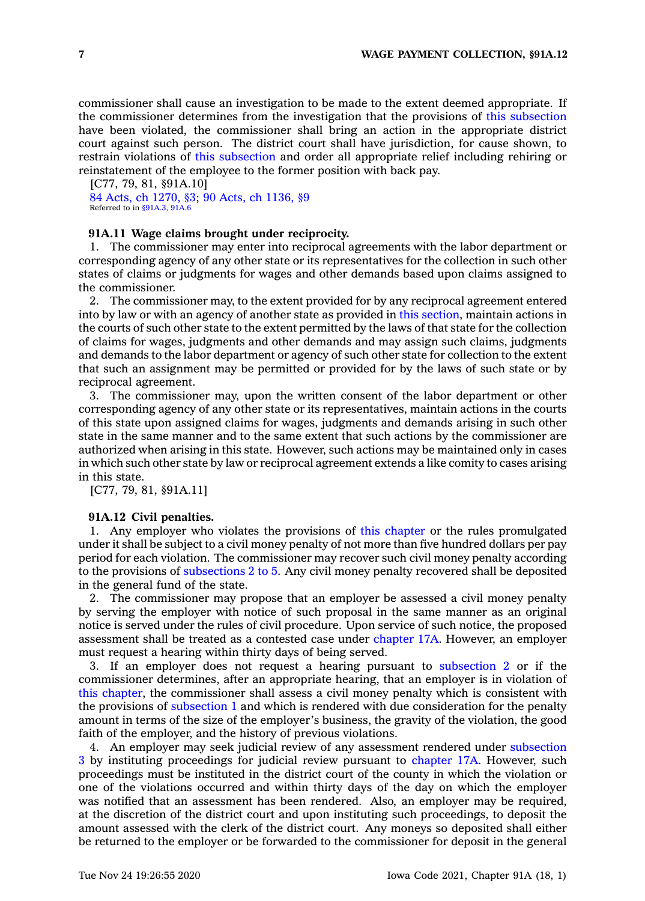commissioner shall cause an investigation to be made to the extent deemed appropriate. If the commissioner determines from the investigation that the provisions of this [subsection](https://www.legis.iowa.gov/docs/code/91A.10.pdf) have been violated, the commissioner shall bring an action in the appropriate district court against such person. The district court shall have jurisdiction, for cause shown, to restrain violations of this [subsection](https://www.legis.iowa.gov/docs/code/91A.10.pdf) and order all appropriate relief including rehiring or reinstatement of the employee to the former position with back pay.

[C77, 79, 81, §91A.10] 84 Acts, ch [1270,](https://www.legis.iowa.gov/docs/acts/1984/CH1270.pdf) §3; 90 Acts, ch [1136,](https://www.legis.iowa.gov/docs/acts/1990/CH1136.pdf) §9 Referred to in [§91A.3](https://www.legis.iowa.gov/docs/code/91A.3.pdf), [91A.6](https://www.legis.iowa.gov/docs/code/91A.6.pdf)

# **91A.11 Wage claims brought under reciprocity.**

1. The commissioner may enter into reciprocal agreements with the labor department or corresponding agency of any other state or its representatives for the collection in such other states of claims or judgments for wages and other demands based upon claims assigned to the commissioner.

2. The commissioner may, to the extent provided for by any reciprocal agreement entered into by law or with an agency of another state as provided in this [section](https://www.legis.iowa.gov/docs/code/91A.11.pdf), maintain actions in the courts of such other state to the extent permitted by the laws of that state for the collection of claims for wages, judgments and other demands and may assign such claims, judgments and demands to the labor department or agency of such other state for collection to the extent that such an assignment may be permitted or provided for by the laws of such state or by reciprocal agreement.

3. The commissioner may, upon the written consent of the labor department or other corresponding agency of any other state or its representatives, maintain actions in the courts of this state upon assigned claims for wages, judgments and demands arising in such other state in the same manner and to the same extent that such actions by the commissioner are authorized when arising in this state. However, such actions may be maintained only in cases in which such other state by law or reciprocal agreement extends <sup>a</sup> like comity to cases arising in this state.

[C77, 79, 81, §91A.11]

# **91A.12 Civil penalties.**

1. Any employer who violates the provisions of this [chapter](https://www.legis.iowa.gov/docs/code//91A.pdf) or the rules promulgated under it shall be subject to <sup>a</sup> civil money penalty of not more than five hundred dollars per pay period for each violation. The commissioner may recover such civil money penalty according to the provisions of [subsections](https://www.legis.iowa.gov/docs/code/91A.12.pdf) 2 to 5. Any civil money penalty recovered shall be deposited in the general fund of the state.

2. The commissioner may propose that an employer be assessed <sup>a</sup> civil money penalty by serving the employer with notice of such proposal in the same manner as an original notice is served under the rules of civil procedure. Upon service of such notice, the proposed assessment shall be treated as <sup>a</sup> contested case under [chapter](https://www.legis.iowa.gov/docs/code//17A.pdf) 17A. However, an employer must request <sup>a</sup> hearing within thirty days of being served.

3. If an employer does not request <sup>a</sup> hearing pursuant to [subsection](https://www.legis.iowa.gov/docs/code/91A.12.pdf) 2 or if the commissioner determines, after an appropriate hearing, that an employer is in violation of this [chapter](https://www.legis.iowa.gov/docs/code//91A.pdf), the commissioner shall assess <sup>a</sup> civil money penalty which is consistent with the provisions of [subsection](https://www.legis.iowa.gov/docs/code/91A.12.pdf) 1 and which is rendered with due consideration for the penalty amount in terms of the size of the employer's business, the gravity of the violation, the good faith of the employer, and the history of previous violations.

4. An employer may seek judicial review of any assessment rendered under [subsection](https://www.legis.iowa.gov/docs/code/91A.12.pdf) [3](https://www.legis.iowa.gov/docs/code/91A.12.pdf) by instituting proceedings for judicial review pursuant to [chapter](https://www.legis.iowa.gov/docs/code//17A.pdf) 17A. However, such proceedings must be instituted in the district court of the county in which the violation or one of the violations occurred and within thirty days of the day on which the employer was notified that an assessment has been rendered. Also, an employer may be required, at the discretion of the district court and upon instituting such proceedings, to deposit the amount assessed with the clerk of the district court. Any moneys so deposited shall either be returned to the employer or be forwarded to the commissioner for deposit in the general